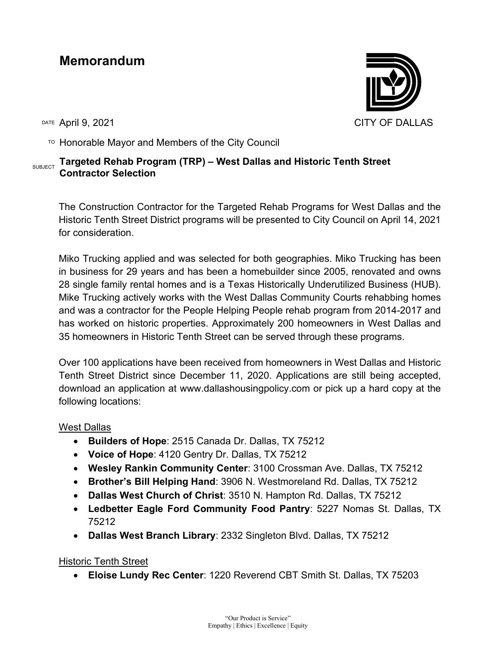## **Memorandum**

 $T$ <sup>O</sup> Honorable Mayor and Members of the City Council

## **SUBJECT Targeted Rehab Program (TRP) – West Dallas and Historic Tenth Street Contractor Selection**

The Construction Contractor for the Targeted Rehab Programs for West Dallas and the Historic Tenth Street District programs will be presented to City Council on April 14, 2021 for consideration.

Miko Trucking applied and was selected for both geographies. Miko Trucking has been in business for 29 years and has been a homebuilder since 2005, renovated and owns 28 single family rental homes and is a Texas Historically Underutilized Business (HUB). Mike Trucking actively works with the West Dallas Community Courts rehabbing homes and was a contractor for the People Helping People rehab program from 2014-2017 and has worked on historic properties. Approximately 200 homeowners in West Dallas and 35 homeowners in Historic Tenth Street can be served through these programs.

Over 100 applications have been received from homeowners in West Dallas and Historic Tenth Street District since December 11, 2020. Applications are still being accepted, download an application at www.dallashousingpolicy.com or pick up a hard copy at the following locations:

West Dallas

- **Builders of Hope**: 2515 Canada Dr. Dallas, TX 75212
- **Voice of Hope**: 4120 Gentry Dr. Dallas, TX 75212
- **Wesley Rankin Community Center**: 3100 Crossman Ave. Dallas, TX 75212
- **Brother's Bill Helping Hand**: 3906 N. Westmoreland Rd. Dallas, TX 75212
- **Dallas West Church of Christ**: 3510 N. Hampton Rd. Dallas, TX 75212
- **Ledbetter Eagle Ford Community Food Pantry**: 5227 Nomas St. Dallas, TX 75212
- **Dallas West Branch Library**: 2332 Singleton Blvd. Dallas, TX 75212

Historic Tenth Street

• **Eloise Lundy Rec Center**: 1220 Reverend CBT Smith St. Dallas, TX 75203